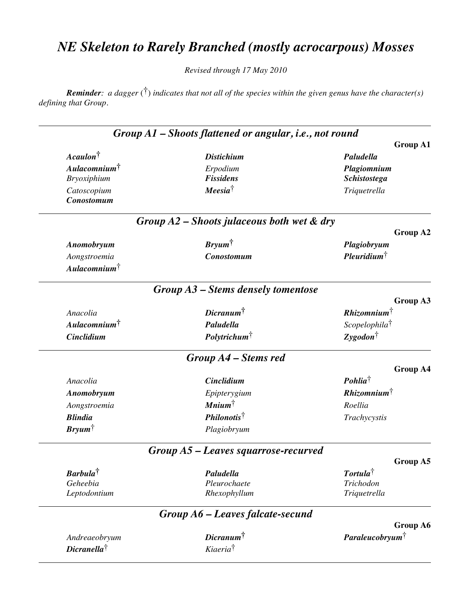# *NE Skeleton to Rarely Branched (mostly acrocarpous) Mosses*

*Revised through 17 May 2010*

*Reminder: a dagger* (†) *indicates that not all of the species within the given genus have the character(s) defining that Group.*

|                                  | Group A1 – Shoots flattened or angular, i.e., not round |                           |
|----------------------------------|---------------------------------------------------------|---------------------------|
|                                  |                                                         | <b>Group A1</b>           |
| $A caulon^{\dagger}$             | <b>Distichium</b>                                       | Paludella                 |
| Aulacomnium <sup>†</sup>         | Erpodium                                                | Plagiomnium               |
| <b>Bryoxiphium</b>               | <b>Fissidens</b>                                        | <b>Schistostega</b>       |
| Catoscopium<br><b>Conostomum</b> | $Meesia^{\dagger}$                                      | Triquetrella              |
|                                  | Group $A2$ – Shoots julaceous both wet $\&$ dry         |                           |
|                                  |                                                         | Group A2                  |
| Anomobryum                       | $Bryum^{\dagger}$                                       | Plagiobryum               |
| Aongstroemia                     | <b>Conostomum</b>                                       | $Plewridium^{\dagger}$    |
| $Aulacomnium^{\dagger}$          |                                                         |                           |
|                                  | $Group A3-S$ tems densely tomentose                     |                           |
|                                  |                                                         | Group A3                  |
| Anacolia                         | $Dicranum^{\dagger}$                                    | Rhizomnium                |
| $Aulacomnium$ <sup>†</sup>       | Paludella                                               | Scopelophila <sup>†</sup> |
| <b>Cinclidium</b>                | Polytrichum <sup>†</sup>                                | $Zygodon^{\dagger}$       |
|                                  | Group A4 – Stems red                                    |                           |
|                                  |                                                         | <b>Group A4</b>           |
| Anacolia                         | Cinclidium                                              | $Pohlia^{\dagger}$        |
| Anomobryum                       | Epipterygium                                            | Rhizomnim                 |
| Aongstroemia                     | $\textit{Minimum}^{\dagger}$                            | Roellia                   |
| <b>Blindia</b>                   | $Philonotis^{\dagger}$                                  | Trachycystis              |
| $Bryum^{\dagger}$                | Plagiobryum                                             |                           |
|                                  | $Group A5 - Leaves square, required$                    |                           |
|                                  |                                                         | Group A5                  |
| $Barbula^{\dagger}$              | Paludella                                               | Tortula                   |
| Geheebia<br>Leptodontium         | Pleurochaete<br>Rhexophyllum                            | Trichodon<br>Triquetrella |
|                                  |                                                         |                           |
|                                  | Group A6 – Leaves falcate-secund                        | Group A6                  |
| Andreaeobryum                    | $Dicramum^{\dagger}$                                    | <b>Paraleucobryum</b>     |
|                                  |                                                         |                           |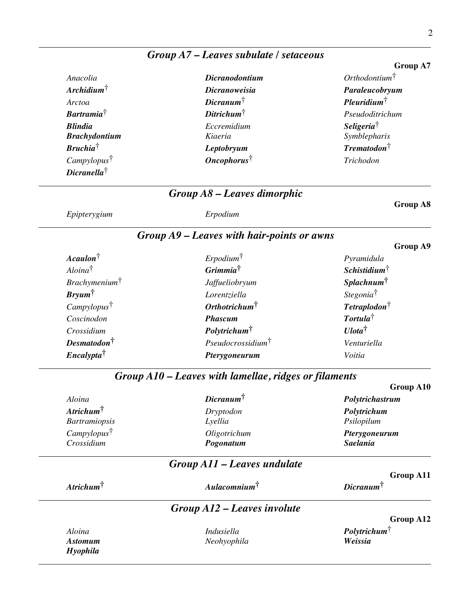|                           |                                                       | Group A7                      |
|---------------------------|-------------------------------------------------------|-------------------------------|
| Anacolia                  | <b>Dicranodontium</b>                                 | Orthodontium <sup>†</sup>     |
| $Archidium^{\dagger}$     | <b>Dicranoweisia</b>                                  | Paraleucobryum                |
| Arctoa                    | $Dicramum^{\dagger}$                                  | $Plewridium^{\dagger}$        |
| $Bartramia^{\dagger}$     | $Ditrichum^{\dagger}$                                 | Pseudoditrichum               |
| <b>Blindia</b>            | Eccremidium                                           | Seligeria <sup>†</sup>        |
| <b>Brachydontium</b>      | Kiaeria                                               | Symblepharis                  |
| $Bruchia^{\dagger}$       | Leptobryum                                            | $Trematodon^{\dagger}$        |
| Campylopus <sup>†</sup>   | Oncophorus <sup>†</sup>                               | Trichodon                     |
| $Dicranella^{\dagger}$    |                                                       |                               |
|                           | Group A8 - Leaves dimorphic                           |                               |
| Epipterygium              | Erpodium                                              | <b>Group A8</b>               |
|                           | Group A9 - Leaves with hair-points or awns            |                               |
|                           |                                                       | Group A9                      |
| $A caulon^{\dagger}$      | $E$ rpodium $\dagger$                                 | Pyramidula                    |
| Aloina <sup>†</sup>       | <i>Grimmia</i> <sup>†</sup>                           | $Schistidium^{\dagger}$       |
| Brachymenium <sup>†</sup> | Jaffueliobryum                                        | <i>Splachnum</i> <sup>†</sup> |
| $Bryum^{\dagger}$         | Lorentziella                                          | Stegonia <sup>†</sup>         |
| Camply lopus              | Orthotrichum <sup>†</sup>                             | $Tetraplodon^{\dagger}$       |
| Coscinodon                | <b>Phascum</b>                                        | $\textit{Tortula}^\dagger$    |
| Crossidium                | Polytrichum <sup>†</sup>                              | $U$ <i>lota</i> <sup>†</sup>  |
| $Desmatodon^{\dagger}$    | $Pseudocrossidium^{\dagger}$                          | Venturiella                   |
| <i>Encalypta</i>          | Pterygoneurum                                         | Voitia                        |
|                           | Group A10 – Leaves with lamellae, ridges or filaments |                               |
|                           |                                                       | Group A10                     |
| Aloina                    | Dicranum <sup>†</sup>                                 | Polytrichastrum               |
| $Artichum^{\dagger}$      | Dryptodon                                             | Polytrichum                   |
| <b>Bartramiopsis</b>      | Lyellia                                               | Psilopilum                    |
| Camply lopus              | Oligotrichum                                          | Pterygoneurum                 |
| Crossidium                | Pogonatum                                             | <b>Saelania</b>               |
|                           | Group A11 – Leaves undulate                           | <b>Group A11</b>              |
| $Artichum^{\dagger}$      | $Aulacomnium^{\dagger}$                               | $Dicranum^{\dagger}$          |
|                           | Group A12 - Leaves involute                           |                               |
|                           |                                                       | Group A12                     |
| Aloina                    | Indusiella                                            | Poly trichum                  |
| <b>Astomum</b>            | Neohyophila                                           | Weissia                       |
| Hyophila                  |                                                       |                               |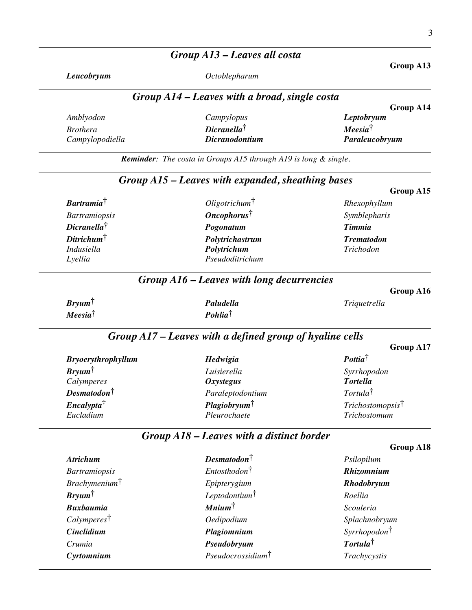#### *Group A13 – Leaves all costa*

*Leucobryum Octoblepharum*

# **Group A13**

**Group A14**

**Group A15**

**Group A16**

**Group A17**

#### *Group A14 – Leaves with a broad, single costa*

|                 |                       | $\sim$ $\sim$ $\sim$ $\sim$ $\sim$ $\sim$ $\sim$ $\sim$ |
|-----------------|-----------------------|---------------------------------------------------------|
| Amblyodon       | Campylopus            | Leptobryum                                              |
| <i>Brothera</i> | $Diranella^{\dagger}$ | $Meesia^{\dagger}$                                      |
| Campylopodiella | <i>Dicranodontium</i> | Paraleucobryum                                          |
|                 |                       |                                                         |

*Reminder: The costa in Groups A15 through A19 is long & single.*

# *Group A15 – Leaves with expanded, sheathing bases*

| <b>Bartramia</b> <sup>†</sup> | $Oligotrichum$ †        | Rhexophyllum      |
|-------------------------------|-------------------------|-------------------|
| <b>Bartramiopsis</b>          | $On cophorus^{\dagger}$ | Symblepharis      |
| $Diranella^{\dagger}$         | Pogonatum               | <b>Timmia</b>     |
| Ditrichum <sup>†</sup>        | Polytrichastrum         | <b>Trematodon</b> |
| Indusiella                    | Polytrichum             | Trichodon         |
| Lyellia                       | Pseudoditrichum         |                   |

#### *Group A16 – Leaves with long decurrencies*

| $Bryum^{\dagger}$  | Paludella                       | <i>Triquetrella</i> |
|--------------------|---------------------------------|---------------------|
| $Meesia^{\dagger}$ | $\mathbf{P}$ ohlia <sup>†</sup> |                     |

## *Group A17 – Leaves with a defined group of hyaline cells*

| <b>Bryoerythrophyllum</b> | Hedwigia                | $\textbf{Pottia}^{\dagger}$  |
|---------------------------|-------------------------|------------------------------|
| $Bryum^{\dagger}$         | Luisierella             | Syrrhopodon                  |
| Calymperes                | <b>Oxystegus</b>        | <b>Tortella</b>              |
| $Desmatodon^{\dagger}$    | Paraleptodontium        | Tortula <sup>†</sup>         |
| $Encaly p t a^{\dagger}$  | $Playiobryum^{\dagger}$ | Trichostomopsis <sup>†</sup> |
| Eucladium                 | Pleurochaete            | Trichostomum                 |

#### *Group A18 – Leaves with a distinct border*

|                          |                               | Group A18                 |
|--------------------------|-------------------------------|---------------------------|
| <b>Atrichum</b>          | $Desmatodon^{\dagger}$        | Psilopilum                |
| <b>Bartramiopsis</b>     | $Entosthodon^{\dagger}$       | Rhizomnium                |
| $Brachymenium^{\dagger}$ | Epipterygium                  | Rhodobryum                |
| $Bryum^{\dagger}$        | Leptodontium $\dagger$        | Roellia                   |
| <b>Buxbaumia</b>         | $\textit{Minimum}^{\dagger}$  | Scouleria                 |
| Calymperes <sup>†</sup>  | <i>Oedipodium</i>             | Splachnobryum             |
| <b>Cinclidium</b>        | Plagiomnium                   | Syrrho podon <sup>†</sup> |
| Crumia                   | Pseudobryum                   | Tortula <sup>†</sup>      |
| Cyrtomnium               | Pseudocrossidium <sup>†</sup> | Trachycystis              |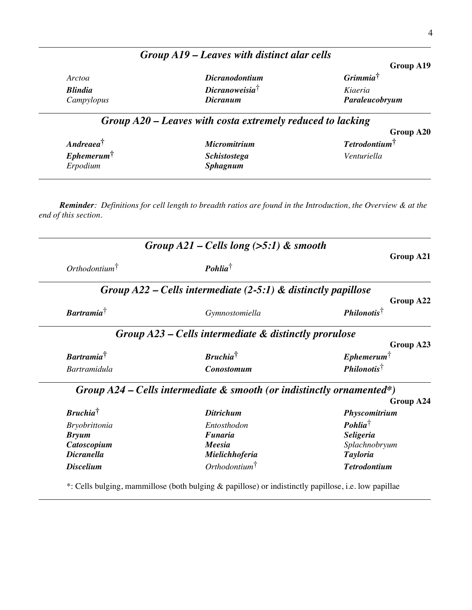|                |                            | Group A19            |
|----------------|----------------------------|----------------------|
| Arctoa         | <b>Dicranodontium</b>      | Grimmia <sup>†</sup> |
| <b>Blindia</b> | Dicranoweisia <sup>†</sup> | Kiaeria              |
| Campylopus     | <i>Dicranum</i>            | Paraleucobryum       |

*Group A19 – Leaves with distinct alar cells*

## *Group A20 – Leaves with costa extremely reduced to lacking*

|                           |                     | Group A20                   |
|---------------------------|---------------------|-----------------------------|
| $Andreaea^{\dagger}$      | <i>Micromitrium</i> | $Tetrodontium$ <sup>T</sup> |
| $E$ phemerum $^{\dagger}$ | <b>Schistostega</b> | Venturiella                 |
| Erpodium                  | <b>Sphagnum</b>     |                             |

*Reminder: Definitions for cell length to breadth ratios are found in the Introduction, the Overview & at the end of this section.*

|                                             | Group $A21$ – Cells long (>5:1) & smooth                                |                               |
|---------------------------------------------|-------------------------------------------------------------------------|-------------------------------|
| Group A21                                   | $\mathbf{P}$ ohlia <sup>†</sup>                                         | $Orthodontium$ <sup>†</sup>   |
|                                             | Group $A22$ – Cells intermediate (2-5:1) & distinctly papillose         |                               |
| Group A22<br><i>Philonotis</i> <sup>†</sup> | Gymnostomiella                                                          | $Bartramia^{\dagger}$         |
|                                             | Group $A23$ – Cells intermediate $\&$ distinctly prorulose              |                               |
| Group A23                                   |                                                                         |                               |
| $E$ <i>phemerum</i>                         | <b>Bruchia</b> <sup>†</sup>                                             | <b>Bartramia</b> <sup>†</sup> |
| $Philonotis^{\dagger}$                      | <b>Conostomum</b>                                                       | <b>Bartramidula</b>           |
|                                             | Group $A24$ – Cells intermediate & smooth (or indistinctly ornamented*) |                               |
| Group A24                                   |                                                                         |                               |
| Physcomitrium                               | <b>Ditrichum</b>                                                        | $Bruchia^{\dagger}$           |
| $\mathbf{P}$ ohlia <sup>†</sup>             | Entosthodon                                                             | <b>Bryobrittonia</b>          |
| <b>Seligeria</b>                            | Funaria                                                                 | <b>Bryum</b>                  |
| Splachnobryum                               | Meesia                                                                  | Catoscopium                   |
| <b>Tayloria</b>                             | Mielichhoferia                                                          | <b>Dicranella</b>             |
| <b>Tetrodontium</b>                         | $Orthodontium^{\dagger}$                                                | <b>Discelium</b>              |

\*: Cells bulging, mammillose (both bulging & papillose) or indistinctly papillose, i.e. low papillae